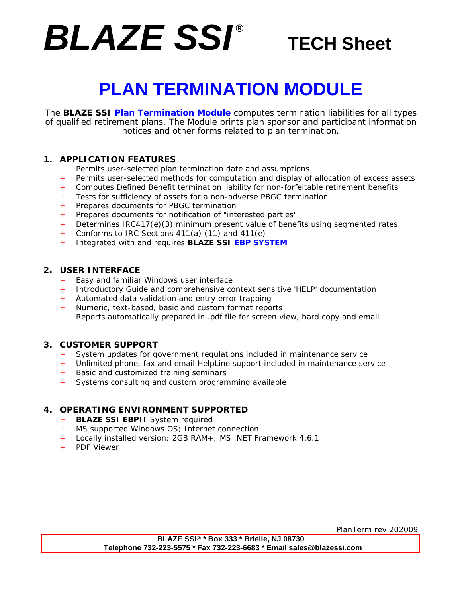# *BLAZE SSI ®*

### **TECH Sheet**

# **PLAN TERMINATION MODULE**

The **BLAZE SSI Plan Termination Module** computes termination liabilities for all types of qualified retirement plans. The Module prints plan sponsor and participant information notices and other forms related to plan termination.

#### **1. APPLICATION FEATURES**

- + Permits user-selected plan termination date and assumptions
- + Permits user-selected methods for computation and display of allocation of excess assets
- + Computes Defined Benefit termination liability for non-forfeitable retirement benefits
- + Tests for sufficiency of assets for a non-adverse PBGC termination
- + Prepares documents for PBGC termination
- + Prepares documents for notification of "interested parties"
- + Determines IRC417(e)(3) minimum present value of benefits using segmented rates
- + Conforms to IRC Sections 411(a) (11) and 411(e)
- + Integrated with and requires **BLAZE SSI EBP SYSTEM**

#### **2. USER INTERFACE**

- + Easy and familiar Windows user interface
- + Introductory Guide and comprehensive context sensitive 'HELP' documentation
- + Automated data validation and entry error trapping
- + Numeric, text-based, basic and custom format reports
- Reports automatically prepared in .pdf file for screen view, hard copy and email

#### **3. CUSTOMER SUPPORT**

- + System updates for government regulations included in maintenance service
- Unlimited phone, fax and email HelpLine support included in maintenance service
- Basic and customized training seminars
- Systems consulting and custom programming available

#### **4. OPERATING ENVIRONMENT SUPPORTED**

- + **BLAZE SSI EBPII** System required
- + MS supported Windows OS; Internet connection
- + Locally installed version: 2GB RAM+; MS .NET Framework 4.6.1
- + PDF Viewer

PlanTerm rev 202009